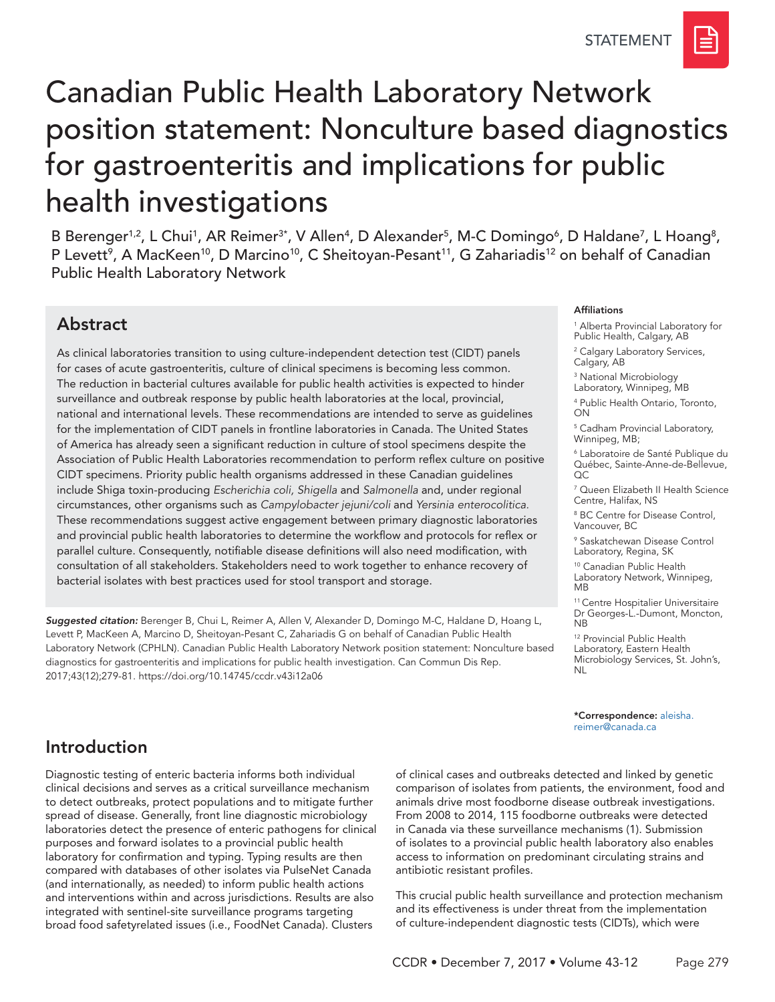# Canadian Public Health Laboratory Network position statement: Nonculture based diagnostics for gastroenteritis and implications for public health investigations

B Berenger<sup>1,2</sup>, L Chui<sup>1</sup>, AR Reimer<sup>3\*</sup>, V Allen<sup>4</sup>, D Alexander<sup>5</sup>, M-C Domingo<sup>6</sup>, D Haldane<sup>7</sup>, L Hoang<sup>8</sup>, P Levett<sup>9</sup>, A MacKeen<sup>10</sup>, D Marcino<sup>10</sup>, C Sheitoyan-Pesant<sup>11</sup>, G Zahariadis<sup>12</sup> on behalf of Canadian Public Health Laboratory Network

# Abstract

As clinical laboratories transition to using culture-independent detection test (CIDT) panels for cases of acute gastroenteritis, culture of clinical specimens is becoming less common. The reduction in bacterial cultures available for public health activities is expected to hinder surveillance and outbreak response by public health laboratories at the local, provincial, national and international levels. These recommendations are intended to serve as guidelines for the implementation of CIDT panels in frontline laboratories in Canada. The United States of America has already seen a significant reduction in culture of stool specimens despite the Association of Public Health Laboratories recommendation to perform reflex culture on positive CIDT specimens. Priority public health organisms addressed in these Canadian guidelines include Shiga toxin-producing *Escherichia coli, Shigella* and *Salmonella* and, under regional circumstances, other organisms such as *Campylobacter jejuni/coli* and *Yersinia enterocolitica.*  These recommendations suggest active engagement between primary diagnostic laboratories and provincial public health laboratories to determine the workflow and protocols for reflex or parallel culture. Consequently, notifiable disease definitions will also need modification, with consultation of all stakeholders. Stakeholders need to work together to enhance recovery of bacterial isolates with best practices used for stool transport and storage.

*Suggested citation:* Berenger B, Chui L, Reimer A, Allen V, Alexander D, Domingo M-C, Haldane D, Hoang L, Levett P, MacKeen A, Marcino D, Sheitoyan-Pesant C, Zahariadis G on behalf of Canadian Public Health Laboratory Network (CPHLN). Canadian Public Health Laboratory Network position statement: Nonculture based diagnostics for gastroenteritis and implications for public health investigation. Can Commun Dis Rep. 2017;43(12);279-81. [https://doi.org/10.14745/ccdr.v43i12a0](https://doi.org/10.14745/ccdr.v43i12a06)6

#### Affiliations

1 Alberta Provincial Laboratory for Public Health, Calgary, AB

2 Calgary Laboratory Services, Calgary, AB

3 National Microbiology

Laboratory, Winnipeg, MB

4 Public Health Ontario, Toronto, ON

5 Cadham Provincial Laboratory, Winnipeg, MB;

6 Laboratoire de Santé Publique du Québec, Sainte-Anne-de-Bellevue,  $OC$ 

7 Queen Elizabeth II Health Science Centre, Halifax, NS

8 BC Centre for Disease Control, Vancouver, BC

9 Saskatchewan Disease Control Laboratory, Regina, SK

10 Canadian Public Health Laboratory Network, Winnipeg, MB

11 Centre Hospitalier Universitaire Dr Georges-L.-Dumont, Moncton, NB

12 Provincial Public Health Laboratory, Eastern Health Microbiology Services, St. John's, NL

\*Correspondence: a[leisha.](mailto:aleisha.reimer%40canada.ca?subject=) [reimer@canada.ca](mailto:aleisha.reimer%40canada.ca?subject=)

# Introduction

Diagnostic testing of enteric bacteria informs both individual clinical decisions and serves as a critical surveillance mechanism to detect outbreaks, protect populations and to mitigate further spread of disease. Generally, front line diagnostic microbiology laboratories detect the presence of enteric pathogens for clinical purposes and forward isolates to a provincial public health laboratory for confirmation and typing. Typing results are then compared with databases of other isolates via PulseNet Canada (and internationally, as needed) to inform public health actions and interventions within and across jurisdictions. Results are also integrated with sentinel-site surveillance programs targeting broad food safetyrelated issues (i.e., FoodNet Canada). Clusters

of clinical cases and outbreaks detected and linked by genetic comparison of isolates from patients, the environment, food and animals drive most foodborne disease outbreak investigations. From 2008 to 2014, 115 foodborne outbreaks were detected in Canada via these surveillance mechanisms (1). Submission of isolates to a provincial public health laboratory also enables access to information on predominant circulating strains and antibiotic resistant profiles.

This crucial public health surveillance and protection mechanism and its effectiveness is under threat from the implementation of culture-independent diagnostic tests (CIDTs), which were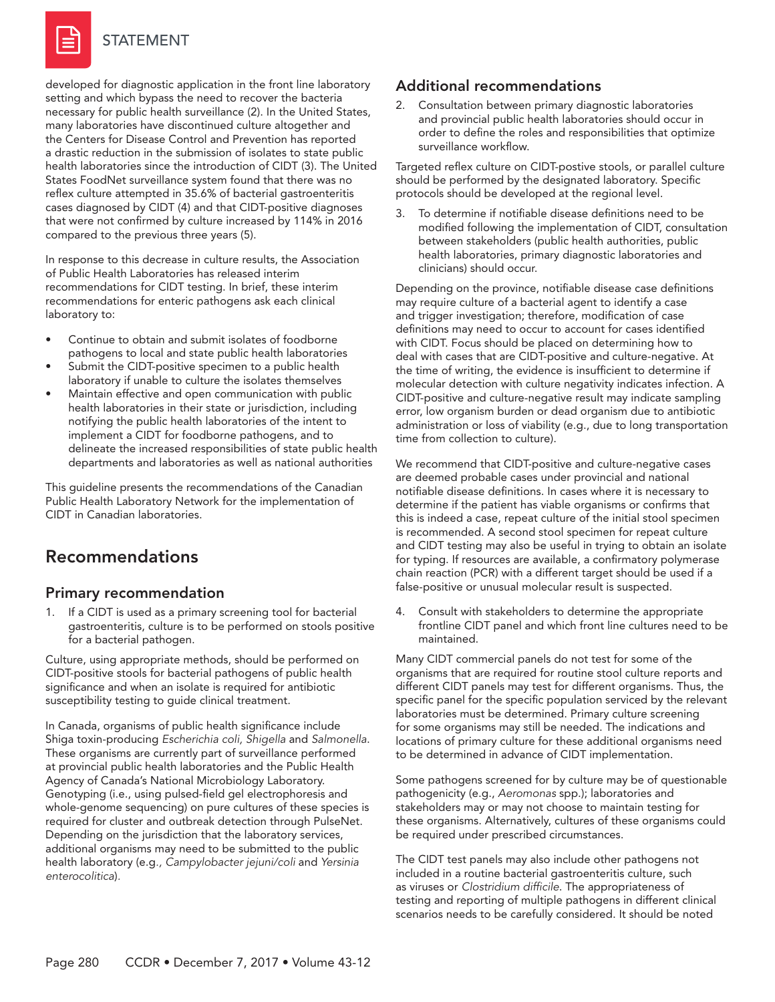

#### STATEMENT

developed for diagnostic application in the front line laboratory setting and which bypass the need to recover the bacteria necessary for public health surveillance (2). In the United States, many laboratories have discontinued culture altogether and the Centers for Disease Control and Prevention has reported a drastic reduction in the submission of isolates to state public health laboratories since the introduction of CIDT (3). The United States FoodNet surveillance system found that there was no reflex culture attempted in 35.6% of bacterial gastroenteritis cases diagnosed by CIDT (4) and that CIDT-positive diagnoses that were not confirmed by culture increased by 114% in 2016 compared to the previous three years (5).

In response to this decrease in culture results, the Association of Public Health Laboratories has released interim recommendations for CIDT testing. In brief, these interim recommendations for enteric pathogens ask each clinical laboratory to:

- Continue to obtain and submit isolates of foodborne pathogens to local and state public health laboratories
- Submit the CIDT-positive specimen to a public health laboratory if unable to culture the isolates themselves
- Maintain effective and open communication with public health laboratories in their state or jurisdiction, including notifying the public health laboratories of the intent to implement a CIDT for foodborne pathogens, and to delineate the increased responsibilities of state public health departments and laboratories as well as national authorities

This guideline presents the recommendations of the Canadian Public Health Laboratory Network for the implementation of CIDT in Canadian laboratories.

# Recommendations

#### Primary recommendation

1. If a CIDT is used as a primary screening tool for bacterial gastroenteritis, culture is to be performed on stools positive for a bacterial pathogen.

Culture, using appropriate methods, should be performed on CIDT-positive stools for bacterial pathogens of public health significance and when an isolate is required for antibiotic susceptibility testing to guide clinical treatment.

In Canada, organisms of public health significance include Shiga toxin-producing *Escherichia coli, Shigella* and *Salmonella*. These organisms are currently part of surveillance performed at provincial public health laboratories and the Public Health Agency of Canada's National Microbiology Laboratory. Genotyping (i.e., using pulsed-field gel electrophoresis and whole-genome sequencing) on pure cultures of these species is required for cluster and outbreak detection through PulseNet. Depending on the jurisdiction that the laboratory services, additional organisms may need to be submitted to the public health laboratory (e.g*., Campylobacter jejuni/coli* and *Yersinia enterocolitica*)*.*

#### Additional recommendations

2. Consultation between primary diagnostic laboratories and provincial public health laboratories should occur in order to define the roles and responsibilities that optimize surveillance workflow.

Targeted reflex culture on CIDT-postive stools, or parallel culture should be performed by the designated laboratory. Specific protocols should be developed at the regional level.

To determine if notifiable disease definitions need to be modified following the implementation of CIDT, consultation between stakeholders (public health authorities, public health laboratories, primary diagnostic laboratories and clinicians) should occur.

Depending on the province, notifiable disease case definitions may require culture of a bacterial agent to identify a case and trigger investigation; therefore, modification of case definitions may need to occur to account for cases identified with CIDT. Focus should be placed on determining how to deal with cases that are CIDT-positive and culture-negative. At the time of writing, the evidence is insufficient to determine if molecular detection with culture negativity indicates infection. A CIDT-positive and culture-negative result may indicate sampling error, low organism burden or dead organism due to antibiotic administration or loss of viability (e.g., due to long transportation time from collection to culture).

We recommend that CIDT-positive and culture-negative cases are deemed probable cases under provincial and national notifiable disease definitions. In cases where it is necessary to determine if the patient has viable organisms or confirms that this is indeed a case, repeat culture of the initial stool specimen is recommended. A second stool specimen for repeat culture and CIDT testing may also be useful in trying to obtain an isolate for typing. If resources are available, a confirmatory polymerase chain reaction (PCR) with a different target should be used if a false-positive or unusual molecular result is suspected.

4. Consult with stakeholders to determine the appropriate frontline CIDT panel and which front line cultures need to be maintained.

Many CIDT commercial panels do not test for some of the organisms that are required for routine stool culture reports and different CIDT panels may test for different organisms. Thus, the specific panel for the specific population serviced by the relevant laboratories must be determined. Primary culture screening for some organisms may still be needed. The indications and locations of primary culture for these additional organisms need to be determined in advance of CIDT implementation.

Some pathogens screened for by culture may be of questionable pathogenicity (e.g., *Aeromonas* spp.); laboratories and stakeholders may or may not choose to maintain testing for these organisms. Alternatively, cultures of these organisms could be required under prescribed circumstances.

The CIDT test panels may also include other pathogens not included in a routine bacterial gastroenteritis culture, such as viruses or *Clostridium difficile*. The appropriateness of testing and reporting of multiple pathogens in different clinical scenarios needs to be carefully considered. It should be noted